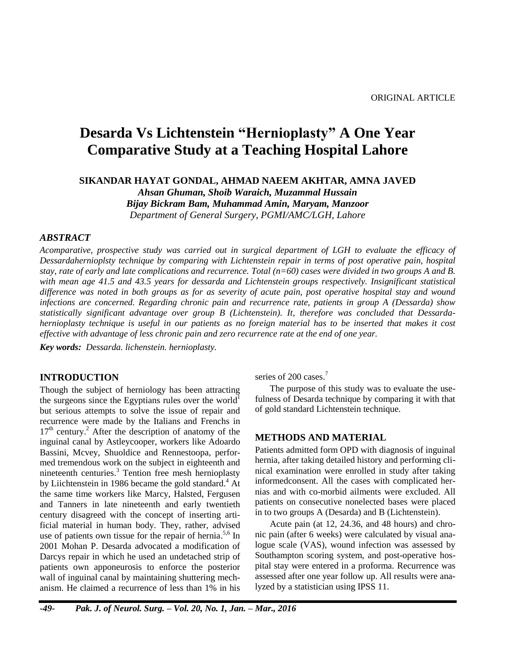# **Desarda Vs Lichtenstein "Hernioplasty" A One Year Comparative Study at a Teaching Hospital Lahore**

**SIKANDAR HAYAT GONDAL, AHMAD NAEEM AKHTAR, AMNA JAVED** *Ahsan Ghuman, Shoib Waraich, Muzammal Hussain Bijay Bickram Bam, Muhammad Amin, Maryam, Manzoor*

*Department of General Surgery, PGMI/AMC/LGH, Lahore*

# *ABSTRACT*

*Acomparative, prospective study was carried out in surgical department of LGH to evaluate the efficacy of Dessardahernioplsty technique by comparing with Lichtenstein repair in terms of post operative pain, hospital stay, rate of early and late complications and recurrence. Total (n=60) cases were divided in two groups A and B. with mean age 41.5 and 43.5 years for dessarda and Lichtenstein groups respectively. Insignificant statistical difference was noted in both groups as for as severity of acute pain, post operative hospital stay and wound infections are concerned. Regarding chronic pain and recurrence rate, patients in group A (Dessarda) show statistically significant advantage over group B (Lichtenstein). It, therefore was concluded that Dessardahernioplasty technique is useful in our patients as no foreign material has to be inserted that makes it cost effective with advantage of less chronic pain and zero recurrence rate at the end of one year.*

*Key words: Dessarda. lichenstein. hernioplasty.*

# **INTRODUCTION**

Though the subject of herniology has been attracting the surgeons since the Egyptians rules over the world<sup>1</sup> but serious attempts to solve the issue of repair and recurrence were made by the Italians and Frenchs in 17<sup>th</sup> century.<sup>2</sup> After the description of anatomy of the inguinal canal by Astleycooper, workers like Adoardo Bassini, Mcvey, Shuoldice and Rennestoopa, performed tremendous work on the subject in eighteenth and nineteenth centuries. <sup>3</sup> Tention free mesh hernioplasty by Liichtenstein in 1986 became the gold standard.<sup>4</sup> At the same time workers like Marcy, Halsted, Fergusen and Tanners in late nineteenth and early twentieth century disagreed with the concept of inserting artificial material in human body. They, rather, advised use of patients own tissue for the repair of hernia.<sup>5,6</sup> In 2001 Mohan P. Desarda advocated a modification of Darcys repair in which he used an undetached strip of patients own apponeurosis to enforce the posterior wall of inguinal canal by maintaining shuttering mechanism. He claimed a recurrence of less than 1% in his

series of 200 cases.<sup>7</sup>

The purpose of this study was to evaluate the usefulness of Desarda technique by comparing it with that of gold standard Lichtenstein technique.

# **METHODS AND MATERIAL**

Patients admitted form OPD with diagnosis of inguinal hernia, after taking detailed history and performing clinical examination were enrolled in study after taking informedconsent. All the cases with complicated hernias and with co-morbid ailments were excluded. All patients on consecutive nonelected bases were placed in to two groups A (Desarda) and B (Lichtenstein).

Acute pain (at 12, 24.36, and 48 hours) and chronic pain (after 6 weeks) were calculated by visual analogue scale (VAS), wound infection was assessed by Southampton scoring system, and post-operative hospital stay were entered in a proforma. Recurrence was assessed after one year follow up. All results were analyzed by a statistician using IPSS 11.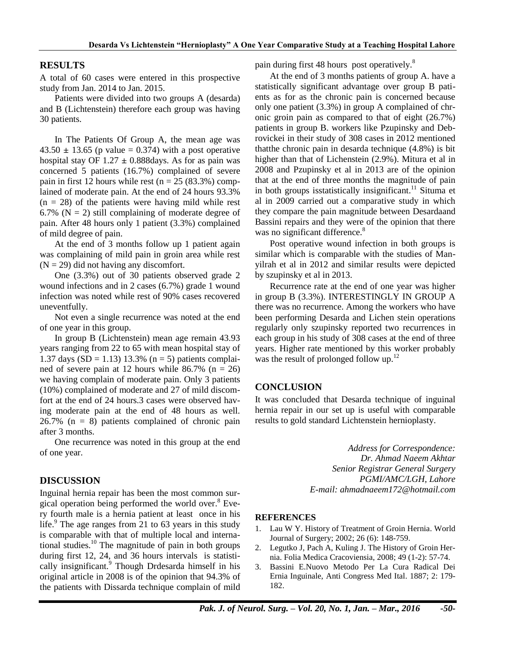# **RESULTS**

A total of 60 cases were entered in this prospective study from Jan. 2014 to Jan. 2015.

Patients were divided into two groups A (desarda) and B (Lichtenstein) therefore each group was having 30 patients.

In The Patients Of Group A, the mean age was  $43.50 \pm 13.65$  (p value = 0.374) with a post operative hospital stay OF  $1.27 \pm 0.888$  days. As for as pain was concerned 5 patients (16.7%) complained of severe pain in first 12 hours while rest ( $n = 25$  (83.3%) complained of moderate pain. At the end of 24 hours 93.3%  $(n = 28)$  of the patients were having mild while rest 6.7% ( $N = 2$ ) still complaining of moderate degree of pain. After 48 hours only 1 patient (3.3%) complained of mild degree of pain.

At the end of 3 months follow up 1 patient again was complaining of mild pain in groin area while rest  $(N = 29)$  did not having any discomfort.

One (3.3%) out of 30 patients observed grade 2 wound infections and in 2 cases (6.7%) grade 1 wound infection was noted while rest of 90% cases recovered uneventfully.

Not even a single recurrence was noted at the end of one year in this group.

In group B (Lichtenstein) mean age remain 43.93 years ranging from 22 to 65 with mean hospital stay of 1.37 days  $(SD = 1.13)$  13.3% (n = 5) patients complained of severe pain at 12 hours while  $86.7\%$  (n = 26) we having complain of moderate pain. Only 3 patients (10%) complained of moderate and 27 of mild discomfort at the end of 24 hours.3 cases were observed having moderate pain at the end of 48 hours as well. 26.7% (n = 8) patients complained of chronic pain after 3 months.

One recurrence was noted in this group at the end of one year.

#### **DISCUSSION**

Inguinal hernia repair has been the most common surgical operation being performed the world over. <sup>8</sup> Every fourth male is a hernia patient at least once in his life.<sup>9</sup> The age ranges from 21 to 63 years in this study is comparable with that of multiple local and international studies. <sup>10</sup> The magnitude of pain in both groups during first 12, 24, and 36 hours intervals is statistically insignificant.<sup>9</sup> Though Drdesarda himself in his original article in 2008 is of the opinion that 94.3% of the patients with Dissarda technique complain of mild pain during first 48 hours post operatively.<sup>8</sup>

At the end of 3 months patients of group A. have a statistically significant advantage over group B patients as for as the chronic pain is concerned because only one patient (3.3%) in group A complained of chronic groin pain as compared to that of eight (26.7%) patients in group B. workers like Pzupinsky and Debrovickei in their study of 308 cases in 2012 mentioned thatthe chronic pain in desarda technique (4.8%) is bit higher than that of Lichenstein (2.9%). Mitura et al in 2008 and Pzupinsky et al in 2013 are of the opinion that at the end of three months the magnitude of pain in both groups isstatistically insignificant.<sup>11</sup> Situma et al in 2009 carried out a comparative study in which they compare the pain magnitude between Desardaand Bassini repairs and they were of the opinion that there was no significant difference.<sup>8</sup>

Post operative wound infection in both groups is similar which is comparable with the studies of Manyilrah et al in 2012 and similar results were depicted by szupinsky et al in 2013.

Recurrence rate at the end of one year was higher in group B (3.3%). INTERESTINGLY IN GROUP A there was no recurrence. Among the workers who have been performing Desarda and Lichen stein operations regularly only szupinsky reported two recurrences in each group in his study of 308 cases at the end of three years. Higher rate mentioned by this worker probably was the result of prolonged follow up. $^{12}$ 

#### **CONCLUSION**

It was concluded that Desarda technique of inguinal hernia repair in our set up is useful with comparable results to gold standard Lichtenstein hernioplasty.

> *Address for Correspondence: Dr. Ahmad Naeem Akhtar Senior Registrar General Surgery PGMI/AMC/LGH, Lahore E-mail: ahmadnaeem172@hotmail.com*

#### **REFERENCES**

- 1. Lau W Y. History of Treatment of Groin Hernia. World Journal of Surgery; 2002; 26 (6): 148-759.
- 2. Legutko J, Pach A, Kuling J. The History of Groin Hernia. Folia Medica Cracoviensia, 2008; 49 (1-2): 57-74.
- 3. Bassini E.Nuovo Metodo Per La Cura Radical Dei Ernia Inguinale, Anti Congress Med Ital. 1887; 2: 179- 182.